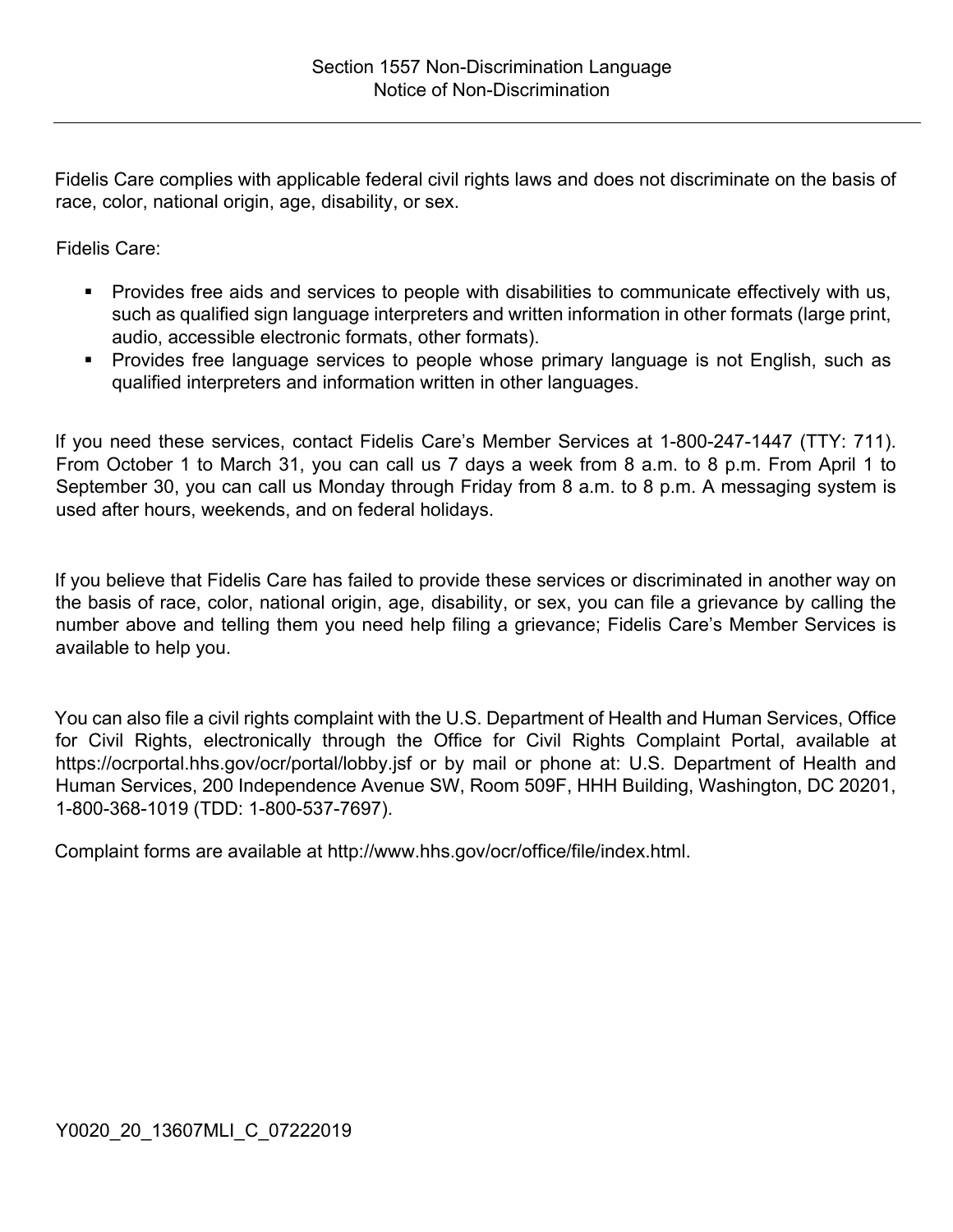Fidelis Care complies with applicable federal civil rights laws and does not discriminate on the basis of race, color, national origin, age, disability, or sex.

Fidelis Care:

- Provides free aids and services to people with disabilities to communicate effectively with us, such as qualified sign language interpreters and written information in other formats (large print, audio, accessible electronic formats, other formats).
- **Provides free language services to people whose primary language is not English, such as** qualified interpreters and information written in other languages.

If you need these services, contact Fidelis Care's Member Services at 1-800-247-1447 (TTY: 711). From October 1 to March 31, you can call us 7 days a week from 8 a.m. to 8 p.m. From April 1 to September 30, you can call us Monday through Friday from 8 a.m. to 8 p.m. A messaging system is used after hours, weekends, and on federal holidays.

If you believe that Fidelis Care has failed to provide these services or discriminated in another way on the basis of race, color, national origin, age, disability, or sex, you can file a grievance by calling the number above and telling them you need help filing a grievance; Fidelis Care's Member Services is available to help you.

You can also file a civil rights complaint with the U.S. Department of Health and Human Services, Office for Civil Rights, electronically through the Office for Civil Rights Complaint Portal, available at https://ocrportal.hhs.gov/ocr/portal/lobby.jsf or by mail or phone at: U.S. Department of Health and Human Services, 200 Independence Avenue SW, Room 509F, HHH Building, Washington, DC 20201, 1-800-368-1019 (TDD: 1-800-537-7697).

Complaint forms are available at http://www.hhs.gov/ocr/office/file/index.html.